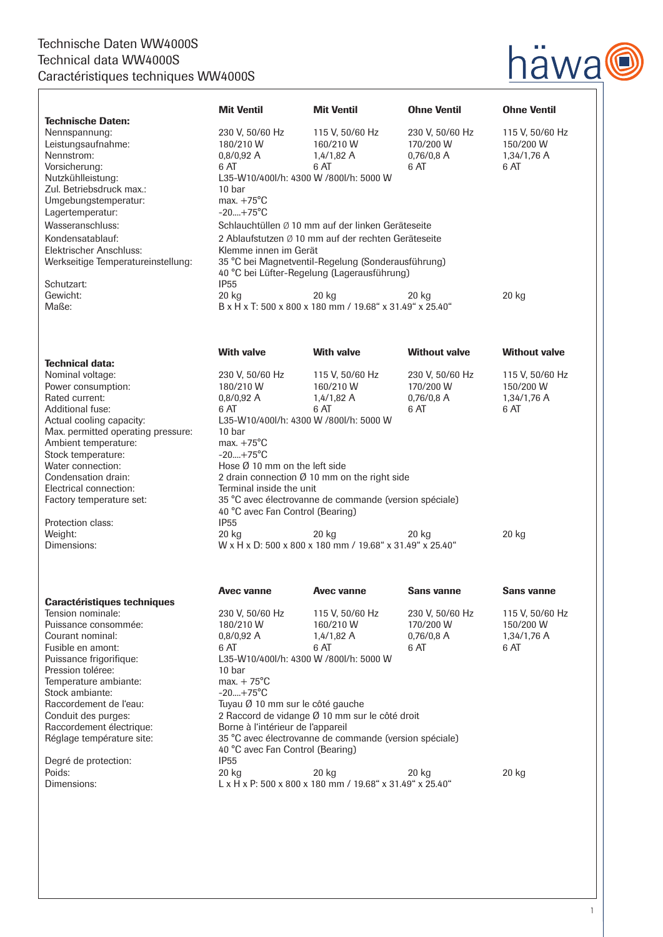## Technische Daten WW4000S Technical data WW4000S Caractéristiques techniques WW4000S



|                                                                                                                                                                                                                                                                                                                                    | <b>Mit Ventil</b>                                                                                 | <b>Mit Ventil</b>                                                 | <b>Ohne Ventil</b>   | <b>Ohne Ventil</b>   |
|------------------------------------------------------------------------------------------------------------------------------------------------------------------------------------------------------------------------------------------------------------------------------------------------------------------------------------|---------------------------------------------------------------------------------------------------|-------------------------------------------------------------------|----------------------|----------------------|
| <b>Technische Daten:</b>                                                                                                                                                                                                                                                                                                           |                                                                                                   |                                                                   |                      |                      |
| Nennspannung:                                                                                                                                                                                                                                                                                                                      | 230 V, 50/60 Hz                                                                                   | 115 V, 50/60 Hz                                                   | 230 V, 50/60 Hz      | 115 V, 50/60 Hz      |
| Leistungsaufnahme:                                                                                                                                                                                                                                                                                                                 | 180/210 W                                                                                         | 160/210 W                                                         | 170/200 W            | 150/200 W            |
| Nennstrom:                                                                                                                                                                                                                                                                                                                         | 0.8/0.92A                                                                                         | 1,4/1,82A                                                         | $0,76/0,8$ A         | 1,34/1,76 A          |
| Vorsicherung:                                                                                                                                                                                                                                                                                                                      | 6 AT                                                                                              | 6 AT                                                              | 6 AT                 | 6 AT                 |
| Nutzkühlleistung:                                                                                                                                                                                                                                                                                                                  | L35-W10/400l/h: 4300 W /800l/h: 5000 W                                                            |                                                                   |                      |                      |
| Zul. Betriebsdruck max.:                                                                                                                                                                                                                                                                                                           | 10 bar                                                                                            |                                                                   |                      |                      |
| Umgebungstemperatur:                                                                                                                                                                                                                                                                                                               | max. $+75^{\circ}$ C<br>$-20+75^{\circ}C$                                                         |                                                                   |                      |                      |
| Lagertemperatur:                                                                                                                                                                                                                                                                                                                   |                                                                                                   |                                                                   |                      |                      |
| Wasseranschluss:                                                                                                                                                                                                                                                                                                                   | Schlauchtüllen Ø 10 mm auf der linken Geräteseite                                                 |                                                                   |                      |                      |
| Kondensatablauf:                                                                                                                                                                                                                                                                                                                   | 2 Ablaufstutzen Ø 10 mm auf der rechten Geräteseite                                               |                                                                   |                      |                      |
| Elektrischer Anschluss:                                                                                                                                                                                                                                                                                                            | Klemme innen im Gerät                                                                             |                                                                   |                      |                      |
| Werkseitige Temperatureinstellung:                                                                                                                                                                                                                                                                                                 | 35 °C bei Magnetventil-Regelung (Sonderausführung)<br>40 °C bei Lüfter-Regelung (Lagerausführung) |                                                                   |                      |                      |
| Schutzart:                                                                                                                                                                                                                                                                                                                         | <b>IP55</b>                                                                                       |                                                                   |                      |                      |
| Gewicht:                                                                                                                                                                                                                                                                                                                           | 20 kg                                                                                             | 20 kg                                                             | 20 kg                | 20 kg                |
| Maße:                                                                                                                                                                                                                                                                                                                              |                                                                                                   | B x H x T: 500 x 800 x 180 mm / 19.68" x 31.49" x 25.40"          |                      |                      |
|                                                                                                                                                                                                                                                                                                                                    |                                                                                                   |                                                                   |                      |                      |
|                                                                                                                                                                                                                                                                                                                                    | <b>With valve</b>                                                                                 | <b>With valve</b>                                                 | <b>Without valve</b> | <b>Without valve</b> |
| <b>Technical data:</b>                                                                                                                                                                                                                                                                                                             |                                                                                                   |                                                                   |                      |                      |
| Nominal voltage:                                                                                                                                                                                                                                                                                                                   | 230 V, 50/60 Hz                                                                                   | 115 V, 50/60 Hz                                                   | 230 V, 50/60 Hz      | 115 V, 50/60 Hz      |
| Power consumption:<br>Rated current:                                                                                                                                                                                                                                                                                               | 180/210 W                                                                                         | 160/210 W                                                         | 170/200 W            | 150/200 W            |
| <b>Additional fuse:</b>                                                                                                                                                                                                                                                                                                            | 0,8/0,92 A<br>6 AT                                                                                | 1,4/1,82 A<br>6 AT                                                | $0,76/0,8$ A<br>6 AT | 1,34/1,76 A<br>6 AT  |
| Actual cooling capacity:                                                                                                                                                                                                                                                                                                           |                                                                                                   |                                                                   |                      |                      |
| Max. permitted operating pressure:                                                                                                                                                                                                                                                                                                 | L35-W10/400l/h: 4300 W /800l/h: 5000 W<br>10 bar                                                  |                                                                   |                      |                      |
| Ambient temperature:                                                                                                                                                                                                                                                                                                               | max. $+75^{\circ}$ C                                                                              |                                                                   |                      |                      |
| Stock temperature:                                                                                                                                                                                                                                                                                                                 | $-20+75^{\circ}C$                                                                                 |                                                                   |                      |                      |
| Water connection:                                                                                                                                                                                                                                                                                                                  | Hose Ø 10 mm on the left side                                                                     |                                                                   |                      |                      |
| Condensation drain:                                                                                                                                                                                                                                                                                                                | 2 drain connection $Ø$ 10 mm on the right side                                                    |                                                                   |                      |                      |
| Electrical connection:                                                                                                                                                                                                                                                                                                             | Terminal inside the unit                                                                          |                                                                   |                      |                      |
| Factory temperature set:                                                                                                                                                                                                                                                                                                           | 35 °C avec électrovanne de commande (version spéciale)<br>40 °C avec Fan Control (Bearing)        |                                                                   |                      |                      |
|                                                                                                                                                                                                                                                                                                                                    |                                                                                                   |                                                                   |                      |                      |
| Protection class:                                                                                                                                                                                                                                                                                                                  | <b>IP55</b>                                                                                       |                                                                   |                      |                      |
| Weight:                                                                                                                                                                                                                                                                                                                            | 20 kg                                                                                             | 20 kg                                                             | 20 kg                | 20 kg                |
| Dimensions:                                                                                                                                                                                                                                                                                                                        |                                                                                                   | W x H x D: 500 x 800 x 180 mm / 19.68" x 31.49" x 25.40"          |                      |                      |
|                                                                                                                                                                                                                                                                                                                                    |                                                                                                   |                                                                   | <b>Sans vanne</b>    | <b>Sans vanne</b>    |
|                                                                                                                                                                                                                                                                                                                                    | Avec vanne                                                                                        | Avec vanne                                                        |                      |                      |
|                                                                                                                                                                                                                                                                                                                                    |                                                                                                   |                                                                   |                      |                      |
|                                                                                                                                                                                                                                                                                                                                    | 230 V, 50/60 Hz                                                                                   | 115 V, 50/60 Hz                                                   | 230 V, 50/60 Hz      |                      |
|                                                                                                                                                                                                                                                                                                                                    | 180/210 W                                                                                         | 160/210 W                                                         | 170/200 W            | 150/200 W            |
| Courant nominal:                                                                                                                                                                                                                                                                                                                   | 0,8/0,92 A                                                                                        | $1,4/1,82$ A                                                      | $0,76/0,8$ A         | 1,34/1,76 A          |
|                                                                                                                                                                                                                                                                                                                                    | 6 AT                                                                                              | 6 AT                                                              | 6 AT                 | 6 AT                 |
|                                                                                                                                                                                                                                                                                                                                    |                                                                                                   | L35-W10/400l/h: 4300 W /800l/h: 5000 W                            |                      |                      |
|                                                                                                                                                                                                                                                                                                                                    | 10 bar                                                                                            |                                                                   |                      |                      |
|                                                                                                                                                                                                                                                                                                                                    | $max. + 75^{\circ}C$                                                                              |                                                                   |                      |                      |
|                                                                                                                                                                                                                                                                                                                                    | $-20+75^{\circ}C$                                                                                 |                                                                   |                      |                      |
|                                                                                                                                                                                                                                                                                                                                    | Tuyau Ø 10 mm sur le côté gauche                                                                  |                                                                   |                      |                      |
|                                                                                                                                                                                                                                                                                                                                    |                                                                                                   | 2 Raccord de vidange Ø 10 mm sur le côté droit                    |                      |                      |
|                                                                                                                                                                                                                                                                                                                                    | Borne à l'intérieur de l'appareil                                                                 |                                                                   |                      |                      |
|                                                                                                                                                                                                                                                                                                                                    | 40 °C avec Fan Control (Bearing)                                                                  | 35 °C avec électrovanne de commande (version spéciale)            |                      | 115 V, 50/60 Hz      |
| <b>Caractéristiques techniques</b><br>Tension nominale:<br>Puissance consommée:<br>Fusible en amont:<br>Puissance frigorifique:<br>Pression toléree:<br>Temperature ambiante:<br>Stock ambiante:<br>Raccordement de l'eau:<br>Conduit des purges:<br>Raccordement électrique:<br>Réglage température site:<br>Degré de protection: | <b>IP55</b>                                                                                       |                                                                   |                      |                      |
| Poids:<br>Dimensions:                                                                                                                                                                                                                                                                                                              | 20 kg                                                                                             | 20 kg<br>L x H x P: 500 x 800 x 180 mm / 19.68" x 31.49" x 25.40" | 20 kg                | 20 kg                |